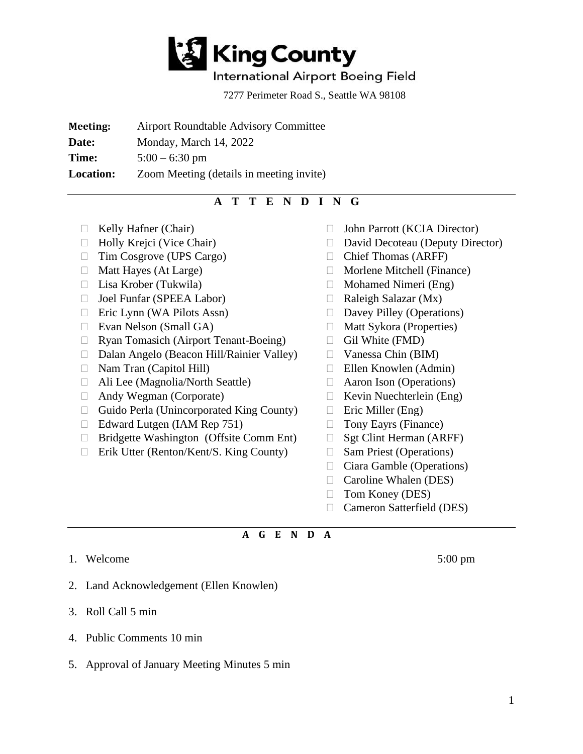

## International Airport Boeing Field

7277 Perimeter Road S., Seattle WA 98108

**Meeting:** Airport Roundtable Advisory Committee

**Date:** Monday, March 14, 2022

**Time:**  $5:00 - 6:30 \text{ pm}$ 

**Location:** Zoom Meeting (details in meeting invite)

## **A T T E N D I N G**

- 
- 
- $\Box$  Tim Cosgrove (UPS Cargo)
- $\Box$  Matt Hayes (At Large)
- 
- Joel Funfar (SPEEA Labor)
- $\Box$  Eric Lynn (WA Pilots Assn)
- $\Box$  Evan Nelson (Small GA)
- □ Ryan Tomasich (Airport Tenant-Boeing)
- Dalan Angelo (Beacon Hill/Rainier Valley)
- Nam Tran (Capitol Hill)
- Ali Lee (Magnolia/North Seattle)
- □ Andy Wegman (Corporate)
- $\Box$  Guido Perla (Unincorporated King County)
- $\Box$  Edward Lutgen (IAM Rep 751)
- □ Bridgette Washington (Offsite Comm Ent)
- □ Erik Utter (Renton/Kent/S. King County)
- □ Kelly Hafner (Chair)  $□$  John Parrott (KCIA Director)
- □ Holly Krejci (Vice Chair) □ David Decoteau (Deputy Director)
	- Chief Thomas (ARFF)
	- $\Box$  Morlene Mitchell (Finance)
- $\Box$  Lisa Krober (Tukwila)  $\Box$  Mohamed Nimeri (Eng)
	- $\Box$  Raleigh Salazar (Mx)
	- Davey Pilley (Operations)
	- $\Box$  Matt Sykora (Properties)
	- $\Box$  Gil White (FMD)
	- Vanessa Chin (BIM)
	- $\Box$  Ellen Knowlen (Admin)
	- Aaron Ison (Operations)
	- Kevin Nuechterlein (Eng)
	- $\Box$  Eric Miller (Eng)
	- □ Tony Eayrs (Finance)
	- $\Box$  Sgt Clint Herman (ARFF)
	- □ Sam Priest (Operations)
	- □ Ciara Gamble (Operations)
	- □ Caroline Whalen (DES)
	- $\Box$  Tom Koney (DES)
	- □ Cameron Satterfield (DES)

## **A G E N D A**

- 1. Welcome 5:00 pm
	-

- 2. Land Acknowledgement (Ellen Knowlen)
- 3. Roll Call 5 min
- 4. Public Comments 10 min
- 5. Approval of January Meeting Minutes 5 min